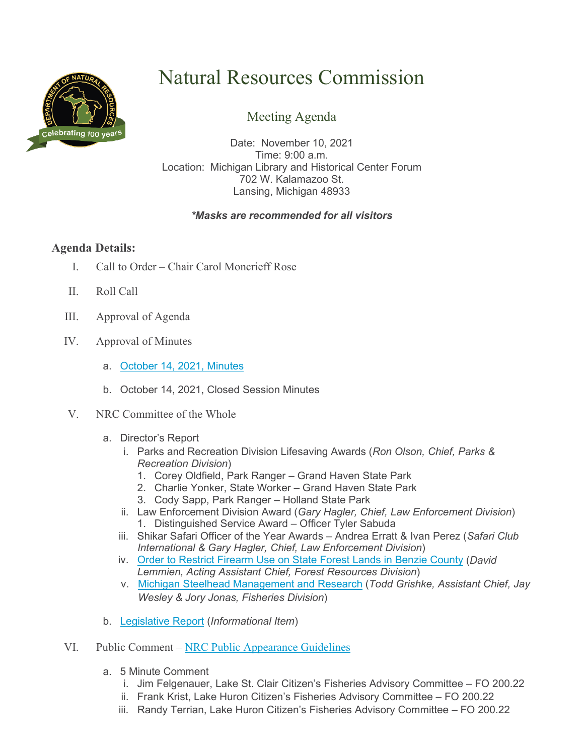

# Natural Resources Commission

## Meeting Agenda

Date: November 10, 2021 Time: 9:00 a.m. Location: Michigan Library and Historical Center Forum 702 W. Kalamazoo St. Lansing, Michigan 48933

#### *\*Masks are recommended for all visitors*

### **Agenda Details:**

- I. Call to Order Chair Carol Moncrieff Rose
- II. Roll Call
- III. Approval of Agenda
- IV. Approval of Minutes
	- a. October [14, 2021,](http://www.michigan.gov/documents/dnr/Minutes_October_Draft_Final_739834_7.pdf) Minutes
	- b. October 14, 2021, Closed Session Minutes
- V. NRC Committee of the Whole
	- a. Director's Report
		- i. Parks and Recreation Division Lifesaving Awards (*Ron Olson, Chief, Parks & Recreation Division*)
			- 1. Corey Oldfield, Park Ranger Grand Haven State Park
			- 2. Charlie Yonker, State Worker Grand Haven State Park
			- 3. Cody Sapp, Park Ranger Holland State Park
		- ii. Law Enforcement Division Award (*Gary Hagler, Chief, Law Enforcement Division*) 1. Distinguished Service Award – Officer Tyler Sabuda
		- iii. Shikar Safari Officer of the Year Awards Andrea Erratt & Ivan Perez (*Safari Club International & Gary Hagler, Chief, Law Enforcement Division*)
		- iv. [Order to Restrict Firearm Use on State Forest Lands in Benzie County](http://www.michigan.gov/documents/dnr/LUOD_7_Presentation_740922_7.pdf) (*David Lemmien, Acting Assistant Chief, Forest Resources Division*)
		- v. [Michigan Steelhead Management and Research](http://www.michigan.gov/documents/dnr/FD_Steelhead_740924_7.pdf) (*Todd Grishke, Assistant Chief, Jay Wesley & Jory Jonas, Fisheries Division*)
	- b. [Legislative Report](http://www.michigan.gov/documents/dnr/11_LegReport_2021_740535_7.pdf) (*Informational Item*)
- VI. Public Comment [NRC Public Appearance Guidelines](http://www.michigan.gov/documents/dnr/Public_Appearance_Guidelines_6.19.19_669545_7.pdf)
	- a. 5 Minute Comment
		- i. Jim Felgenauer, Lake St. Clair Citizen's Fisheries Advisory Committee FO 200.22
		- ii. Frank Krist, Lake Huron Citizen's Fisheries Advisory Committee FO 200.22
		- iii. Randy Terrian, Lake Huron Citizen's Fisheries Advisory Committee FO 200.22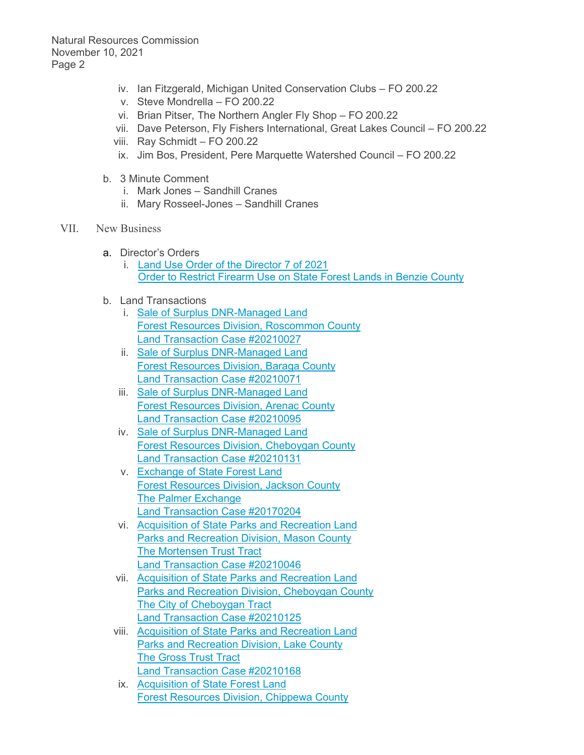Natural Resources Commission November 10, 2021 Page 2

- iv. Ian Fitzgerald, Michigan United Conservation Clubs FO 200.22
- v. Steve Mondrella FO 200.22
- vi. Brian Pitser, The Northern Angler Fly Shop FO 200.22
- vii. Dave Peterson, Fly Fishers International, Great Lakes Council FO 200.22
- viii. Ray Schmidt FO 200.22
- ix. Jim Bos, President, Pere Marquette Watershed Council FO 200.22
- b. 3 Minute Comment
	- i. Mark Jones Sandhill Cranes
	- ii. Mary Rosseel-Jones Sandhill Cranes
- VII. New Business
	- a. Director's Orders
		- i. [Land Use Order of](http://www.michigan.gov/documents/dnr/Signed_LUOD7of2021_739836_7.pdf) the Director 7 of 2021 **Order to Restrict Firearm Use [on State Forest Lands in Benzie County](http://www.michigan.gov/documents/dnr/Signed_LUOD7of2021_739836_7.pdf)**
	- b. Land Transactions
		- i. [Sale of Surplus DNR-Managed Land](http://www.michigan.gov/documents/dnr/Signed_20210027_739838_7.pdf)  [Forest Resources Division,](http://www.michigan.gov/documents/dnr/Signed_20210027_739838_7.pdf) Roscommon County [Land Transaction Case #20210027](http://www.michigan.gov/documents/dnr/Signed_20210027_739838_7.pdf)
		- ii. [Sale of Surplus DNR-Managed Land](http://www.michigan.gov/documents/dnr/Signed_20210071_739841_7.pdf)  [Forest Resources Division, Baraga County](http://www.michigan.gov/documents/dnr/Signed_20210071_739841_7.pdf) [Land Transaction Case #20210071](http://www.michigan.gov/documents/dnr/Signed_20210071_739841_7.pdf)
		- iii. [Sale of Surplus DNR-Managed Land](http://www.michigan.gov/documents/dnr/Signed_20210095_739844_7.pdf)  [Forest Resources Division, Arenac County](http://www.michigan.gov/documents/dnr/Signed_20210095_739844_7.pdf) [Land Transaction Case #20210095](http://www.michigan.gov/documents/dnr/Signed_20210095_739844_7.pdf)
		- iv. [Sale of Surplus DNR-Managed Land](http://www.michigan.gov/documents/dnr/Signed_20210131_739846_7.pdf)  [Forest Resources Division, Cheboygan County](http://www.michigan.gov/documents/dnr/Signed_20210131_739846_7.pdf) [Land Transaction Case #20210131](http://www.michigan.gov/documents/dnr/Signed_20210131_739846_7.pdf)
		- v. [Exchange of State Forest Land](http://www.michigan.gov/documents/dnr/Signed_20170204_739853_7.pdf) [Forest Resources Division, Jackson County](http://www.michigan.gov/documents/dnr/Signed_20170204_739853_7.pdf)  [The Palmer Exchange](http://www.michigan.gov/documents/dnr/Signed_20170204_739853_7.pdf) [Land Transaction Case #20170204](http://www.michigan.gov/documents/dnr/Signed_20170204_739853_7.pdf)
		- vi. [Acquisition of State Parks and Recreation Land](http://www.michigan.gov/documents/dnr/Signed_20210046_739860_7.pdf) [Parks and Recreation Division, Mason County](http://www.michigan.gov/documents/dnr/Signed_20210046_739860_7.pdf)  [The Mortensen Trust Tract](http://www.michigan.gov/documents/dnr/Signed_20210046_739860_7.pdf) [Land Transaction Case #20210046](http://www.michigan.gov/documents/dnr/Signed_20210046_739860_7.pdf)
		- vii. [Acquisition of State Parks and Recreation Land](http://www.michigan.gov/documents/dnr/Signed_20210125_739867_7.pdf) [Parks and Recreation Division, Cheboygan County](http://www.michigan.gov/documents/dnr/Signed_20210125_739867_7.pdf) [The City of Cheboygan Tract](http://www.michigan.gov/documents/dnr/Signed_20210125_739867_7.pdf) [Land Transaction Case #20210125](http://www.michigan.gov/documents/dnr/Signed_20210125_739867_7.pdf)
		- viii. [Acquisition of State Parks and Recreation Land](http://www.michigan.gov/documents/dnr/Signed_20210168_739868_7.pdf) [Parks and Recreation Division, Lake County](http://www.michigan.gov/documents/dnr/Signed_20210168_739868_7.pdf)  [The Gross Trust Tract](http://www.michigan.gov/documents/dnr/Signed_20210168_739868_7.pdf) [Land Transaction Case #20210168](http://www.michigan.gov/documents/dnr/Signed_20210168_739868_7.pdf)
		- ix. [Acquisition of State Forest Land](http://www.michigan.gov/documents/dnr/Signed_20210171_739869_7.pdf) [Forest Resources Division, Chippewa County](http://www.michigan.gov/documents/dnr/Signed_20210171_739869_7.pdf)